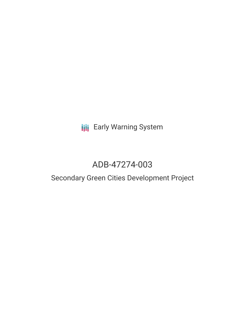## **III** Early Warning System

# ADB-47274-003

## Secondary Green Cities Development Project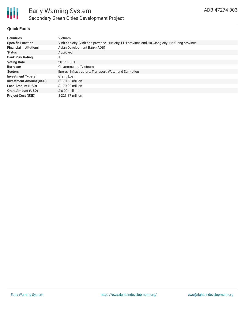

### **Quick Facts**

| <b>Countries</b>               | Vietnam                                                                                      |
|--------------------------------|----------------------------------------------------------------------------------------------|
| <b>Specific Location</b>       | Vinh Yen city -Vinh Yen province, Hue city-TTH province and Ha Giang city -Ha Giang province |
| <b>Financial Institutions</b>  | Asian Development Bank (ADB)                                                                 |
| <b>Status</b>                  | Approved                                                                                     |
| <b>Bank Risk Rating</b>        | Α                                                                                            |
| <b>Voting Date</b>             | 2017-10-31                                                                                   |
| <b>Borrower</b>                | Government of Vietnam                                                                        |
| <b>Sectors</b>                 | Energy, Infrastructure, Transport, Water and Sanitation                                      |
| <b>Investment Type(s)</b>      | Grant, Loan                                                                                  |
| <b>Investment Amount (USD)</b> | \$170.00 million                                                                             |
| <b>Loan Amount (USD)</b>       | \$170.00 million                                                                             |
| <b>Grant Amount (USD)</b>      | $$6.00$ million                                                                              |
| <b>Project Cost (USD)</b>      | \$223.87 million                                                                             |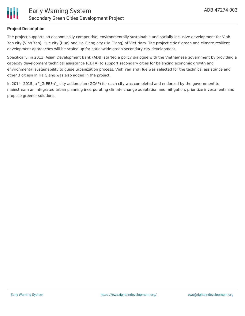

#### **Project Description**

The project supports an economically competitive, environmentally sustainable and socially inclusive development for Vinh Yen city (Vinh Yen), Hue city (Hue) and Ha Giang city (Ha Giang) of Viet Nam. The project cities' green and climate resilient development approaches will be scaled up for nationwide green secondary city development.

Specifically, in 2013, Asian Development Bank (ADB) started a policy dialogue with the Vietnamese government by providing a capacity development technical assistance (CDTA) to support secondary cities for balancing economic growth and environmental sustainability to guide urbanization process. Vinh Yen and Hue was selected for the technical assistance and other 3 citiesn in Ha Giang was also added in the project.

In 2014- 2015, a " GrEEEn" city action plan (GCAP) for each city was completed and endorsed by the government to mainstream an integrated urban planning incorporating climate change adaptation and mitigation, prioritize investments and propose greener solutions.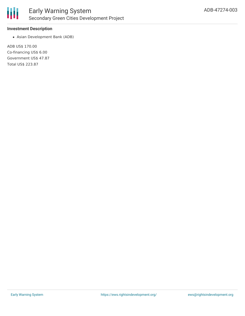

#### **Investment Description**

Asian Development Bank (ADB)

ADB US\$ 170.00 Co-financing US\$ 6.00 Government US\$ 47.87 Total US\$ 223.87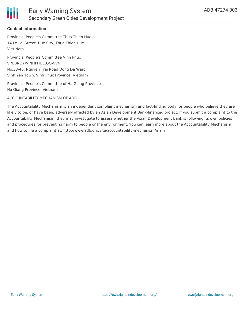

### **Contact Information**

Provincial People's Committee Thua Thien Hue 14 Le Loi Street, Hue City, Thua Thien Hue Viet Nam

Provincial People's Committee Vinh Phuc VPUBND@VINHPHUC.GOV.VN No.38-40, Nguyen Trai Road Dong Da Ward, Vinh Yen Town, Vinh Phuc Province, Vietnam

Provincial People's Committee of Ha Giang Province Ha Giang Province, Vietnam

#### ACCOUNTABILITY MECHANISM OF ADB

The Accountability Mechanism is an independent complaint mechanism and fact-finding body for people who believe they are likely to be, or have been, adversely affected by an Asian Development Bank-financed project. If you submit a complaint to the Accountability Mechanism, they may investigate to assess whether the Asian Development Bank is following its own policies and procedures for preventing harm to people or the environment. You can learn more about the Accountability Mechanism and how to file a complaint at: http://www.adb.org/site/accountability-mechanism/main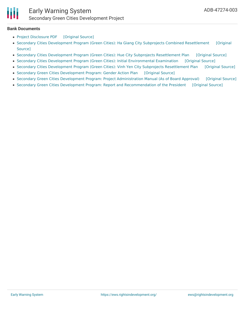

#### **Bank Documents**

- Project [Disclosure](https://ewsdata.rightsindevelopment.org/files/documents/03/ADB-47274-003.pdf) PDF [\[Original](https://www.adb.org/printpdf/projects/47274-003/main) Source]
- Secondary Cities Development Program (Green Cities): Ha Giang City Subprojects Combined [Resettlement](https://www.adb.org/projects/documents/vie-47274-003-remdp) [Original Source]
- Secondary Cities Development Program (Green Cities): Hue City Subprojects [Resettlement](https://ewsdata.rightsindevelopment.org/files/documents/03/ADB-47274-003_57fkMBv.pdf) Plan [\[Original](https://www.adb.org/projects/documents/vie-47274-003-rp) Source]
- Secondary Cities Development Program (Green Cities): Initial [Environmental](https://ewsdata.rightsindevelopment.org/files/documents/03/ADB-47274-003_Cy6io1Z.pdf) Examination [\[Original](https://www.adb.org/projects/documents/vie-47274-003-iee) Source]
- Secondary Cities Development Program (Green Cities): Vinh Yen City Subprojects [Resettlement](https://ewsdata.rightsindevelopment.org/files/documents/03/ADB-47274-003_Jq2m48q.pdf) Plan [\[Original](https://www.adb.org/projects/documents/vie-47274-003-rp-0) Source]
- Secondary Green Cities [Development](https://ewsdata.rightsindevelopment.org/files/documents/03/ADB-47274-003_ZnybGTS.pdf) Program: Gender Action Plan [\[Original](http://www.adb.org/sites/default/files/project-documents/47274/47274-003-gap-en.pdf) Source]
- Secondary Green Cities Development Program: Project [Administration](https://ewsdata.rightsindevelopment.org/files/documents/03/ADB-47274-003_sd4Rxs1.pdf) Manual (As of Board Approval) [\[Original](http://www.adb.org/sites/default/files/project-documents/47274/47274-003-pam-en.pdf) Source]
- Secondary Green Cities Development Program: Report and [Recommendation](https://ewsdata.rightsindevelopment.org/files/documents/03/ADB-47274-003_GWKMdVN.pdf) of the President [\[Original](http://www.adb.org/sites/default/files/project-documents/47274/47274-003-rrp-en.pdf) Source]